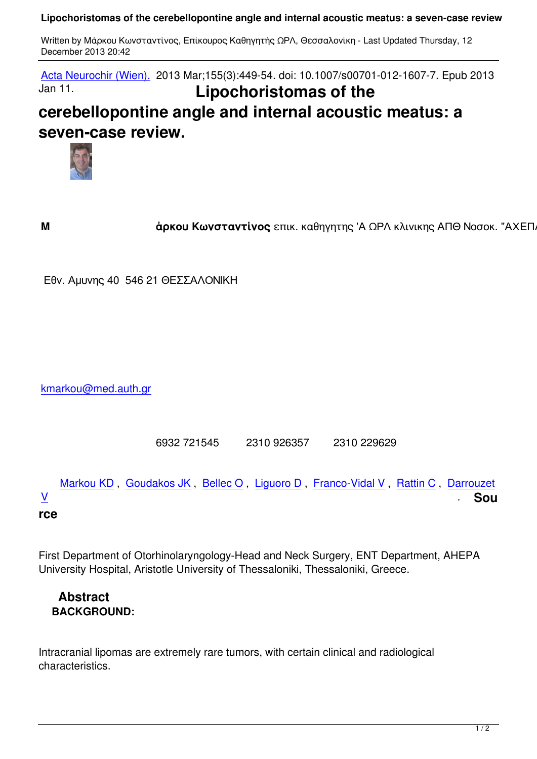Acta Neurochir (Wien). 2013 Mar;155(3):449-54. doi: 10.1007/s00701-012-1607-7. Epub 2013 Jan 11. **Lipochoristomas of the [cerebellopontin](#)e angle and internal acoustic meatus: a seven-case review.**



**M άρκου Κωνσταντίνος** επικ. καθηγητης 'Α ΩΡΛ κλινικης ΑΠΘ Νοσοκ. "ΑΧΕΠΑ" (

Εθν. Αμυνης 40 546 21 ΘΕΣΣΑΛΟΝΙΚΗ

kmarkou@med.auth.gr

6932 721545 2310 926357 2310 229629

Markou KD, Goudakos JK, Bellec O, Liguoro D, Franco-Vidal V, Rattin C, Darrouzet  $\frac{V}{\sqrt{2}}$  . Sou

# **rce**

First Department of Otorhinolaryngology-Head and Neck Surgery, ENT Department, AHEPA University Hospital, Aristotle University of Thessaloniki, Thessaloniki, Greece.

# **Abstract BACKGROUND:**

Intracranial lipomas are extremely rare tumors, with certain clinical and radiological characteristics.